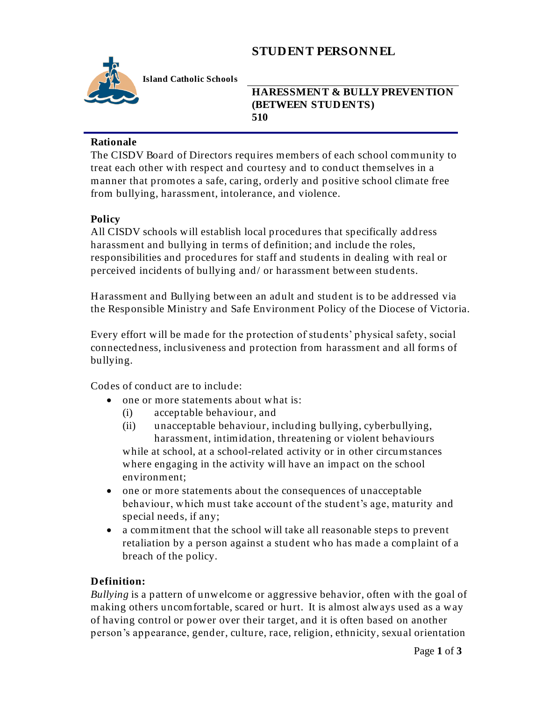# **STUDENT PERSONNEL**



**Island Catholic Schools** 

**HARESSMENT & BULLY PREVENTION (BETWEEN STUDENTS) 510** 

#### **Rationale**

The CISDV Board of Directors requires members of each school community to treat each other with respect and courtesy and to conduct themselves in a manner that promotes a safe, caring, orderly and positive school climate free from bullying, harassment, intolerance, and violence.

### **Policy**

All CISDV schools will establish local procedures that specifically address harassment and bullying in terms of definition; and include the roles, responsibilities and procedures for staff and students in dealing with real or perceived incidents of bullying and/ or harassment between students.

Harassment and Bullying between an adult and student is to be addressed via the Responsible Ministry and Safe Environment Policy of the Diocese of Victoria.

Every effort will be made for the protection of students' physical safety, social connectedness, inclusiveness and protection from harassment and all forms of bullying.

Codes of conduct are to include:

- one or more statements about what is:
	- (i) acceptable behaviour, and
	- (ii) unacceptable behaviour, including bullying, cyberbullying, harassment, intimidation, threatening or violent behaviours while at school, at a school-related activity or in other circumstances where engaging in the activity will have an impact on the school environment;
- one or more statements about the consequences of unacceptable behaviour, which must take account of the student's age, maturity and special needs, if any;
- a commitment that the school will take all reasonable steps to prevent retaliation by a person against a student who has made a complaint of a breach of the policy.

### **Definition:**

*Bullying* is a pattern of unwelcome or aggressive behavior, often with the goal of making others uncomfortable, scared or hurt. It is almost always used as a way of having control or power over their target, and it is often based on another person's appearance, gender, culture, race, religion, ethnicity, sexual orientation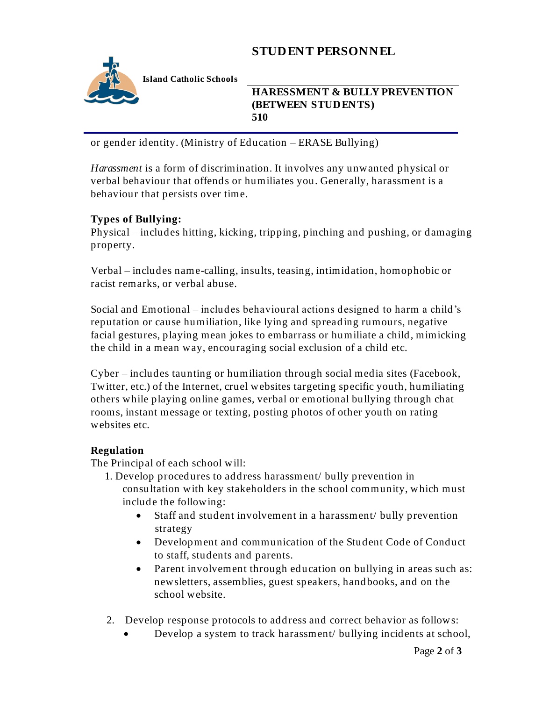# **STUDENT PERSONNEL**



**Island Catholic Schools** 

**HARESSMENT & BULLY PREVENTION (BETWEEN STUDENTS) 510** 

or gender identity. (Ministry of Education – ERASE Bullying)

*Harassment* is a form of discrimination. It involves any unwanted physical or verbal behaviour that offends or humiliates you. Generally, harassment is a behaviour that persists over time.

### **Types of Bullying:**

Physical – includes hitting, kicking, tripping, pinching and pushing, or damaging property.

Verbal – includes name-calling, insults, teasing, intimidation, homophobic or racist remarks, or verbal abuse.

Social and Emotional – includes behavioural actions designed to harm a child's reputation or cause humiliation, like lying and spreading rumours, negative facial gestures, playing mean jokes to embarrass or humiliate a child, mimicking the child in a mean way, encouraging social exclusion of a child etc.

Cyber – includes taunting or humiliation through social media sites (Facebook, Twitter, etc.) of the Internet, cruel websites targeting specific youth, humiliating others while playing online games, verbal or emotional bullying through chat rooms, instant message or texting, posting photos of other youth on rating websites etc.

### **Regulation**

The Principal of each school will:

- 1. Develop procedures to address harassment/ bully prevention in consultation with key stakeholders in the school community, which must include the following:
	- Staff and student involvement in a harassment/ bully prevention strategy
	- Development and communication of the Student Code of Conduct to staff, students and parents.
	- Parent involvement through education on bullying in areas such as: newsletters, assemblies, guest speakers, handbooks, and on the school website.
- 2. Develop response protocols to address and correct behavior as follows:
	- Develop a system to track harassment/ bullying incidents at school,